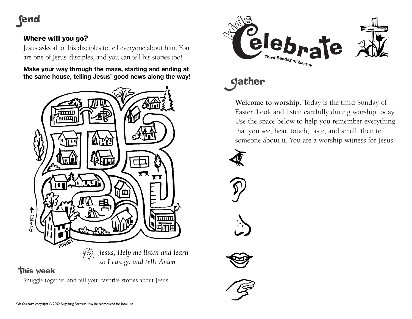## **(end**

## Where will you go?

Jesus asks all of his disciples to tell everyone about him. You are one of Jesus' disciples, and you can tell his stories too!

**Make your way through the maze, starting and ending at the same house, telling Jesus' good news along the way!**



# eleb<sub>ns</sub> Te Third Sunday of Easte

## **gather**

**Welcome to worship.** Today is the third Sunday of Easter. Look and listen carefully during worship today. Use the space below to help you remember everything that you see, hear, touch, taste, and smell, then tell someone about it. You are a worship witness for Jesus!







## **this week**

Snuggle together and tell your favorite stories about Jesus.